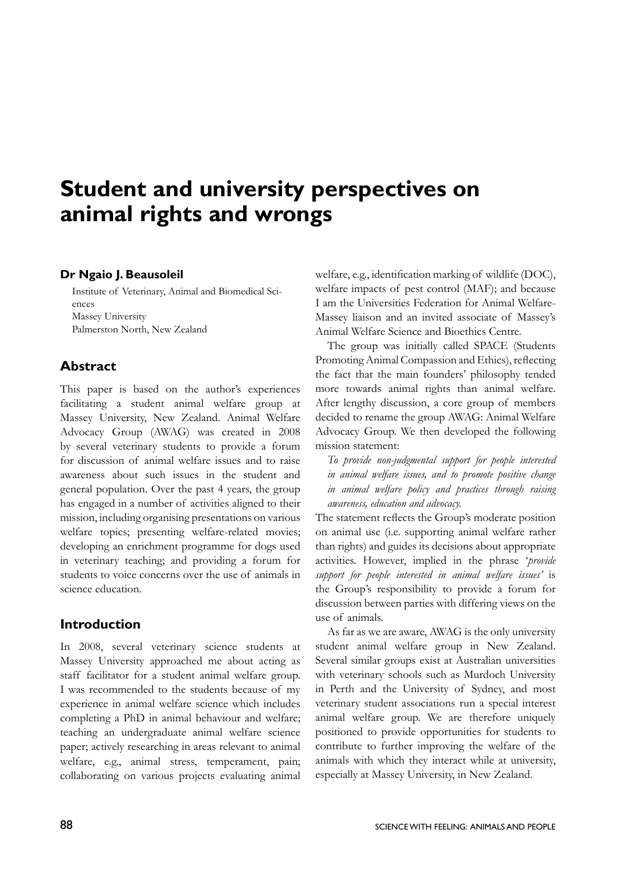# **Student and university perspectives on animal rights and wrongs**

#### **Dr Ngaio J. Beausoleil**

Institute of Veterinary, Animal and Biomedical Sciences Massey University Palmerston North, New Zealand

# **Abstract**

This paper is based on the author's experiences facilitating a student animal welfare group at Massey University, New Zealand. Animal Welfare Advocacy Group (AWAG) was created in 2008 by several veterinary students to provide a forum for discussion of animal welfare issues and to raise awareness about such issues in the student and general population. Over the past 4 years, the group has engaged in a number of activities aligned to their mission, including organising presentations on various welfare topics; presenting welfare-related movies; developing an enrichment programme for dogs used in veterinary teaching; and providing a forum for students to voice concerns over the use of animals in science education.

# **Introduction**

In 2008, several veterinary science students at Massey University approached me about acting as staff facilitator for a student animal welfare group. I was recommended to the students because of my experience in animal welfare science which includes completing a PhD in animal behaviour and welfare; teaching an undergraduate animal welfare science paper; actively researching in areas relevant to animal welfare, e.g., animal stress, temperament, pain; collaborating on various projects evaluating animal welfare, e.g., identification marking of wildlife (DOC), welfare impacts of pest control (MAF); and because I am the Universities Federation for Animal Welfare-Massey liaison and an invited associate of Massey's Animal Welfare Science and Bioethics Centre.

The group was initially called SPACE (Students Promoting Animal Compassion and Ethics), reflecting the fact that the main founders' philosophy tended more towards animal rights than animal welfare. After lengthy discussion, a core group of members decided to rename the group AWAG: Animal Welfare Advocacy Group. We then developed the following mission statement:

*To provide non-judgmental support for people interested in animal welfare issues, and to promote positive change in animal welfare policy and practices through raising awareness, education and advocacy.* 

The statement reflects the Group's moderate position on animal use (i.e. supporting animal welfare rather than rights) and guides its decisions about appropriate activities. However, implied in the phrase '*provide support for people interested in animal welfare issues'* is the Group's responsibility to provide a forum for discussion between parties with differing views on the use of animals.

As far as we are aware, AWAG is the only university student animal welfare group in New Zealand. Several similar groups exist at Australian universities with veterinary schools such as Murdoch University in Perth and the University of Sydney, and most veterinary student associations run a special interest animal welfare group. We are therefore uniquely positioned to provide opportunities for students to contribute to further improving the welfare of the animals with which they interact while at university, especially at Massey University, in New Zealand.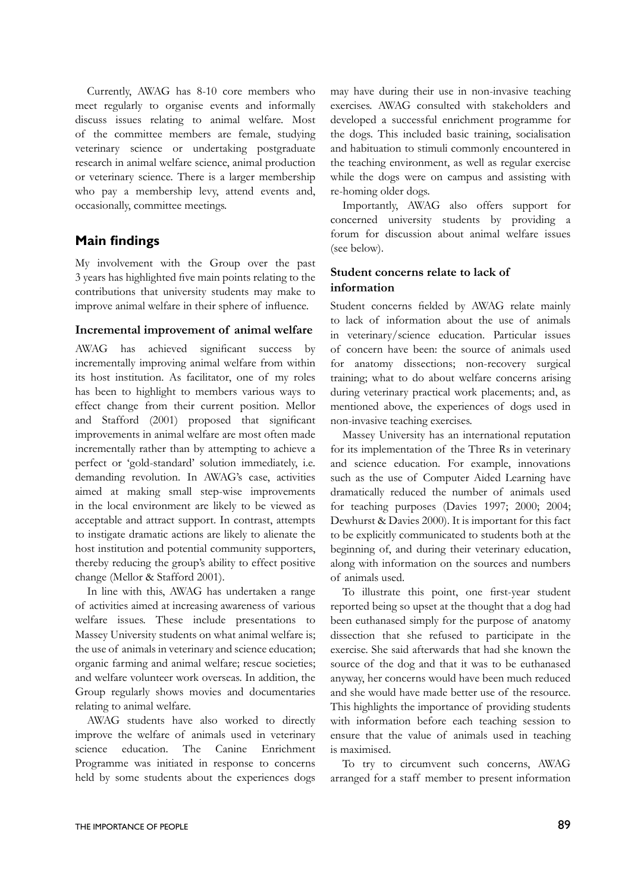Currently, AWAG has 8-10 core members who meet regularly to organise events and informally discuss issues relating to animal welfare. Most of the committee members are female, studying veterinary science or undertaking postgraduate research in animal welfare science, animal production or veterinary science. There is a larger membership who pay a membership levy, attend events and, occasionally, committee meetings.

# **Main findings**

My involvement with the Group over the past 3 years has highlighted five main points relating to the contributions that university students may make to improve animal welfare in their sphere of influence.

#### **Incremental improvement of animal welfare**

AWAG has achieved significant success by incrementally improving animal welfare from within its host institution. As facilitator, one of my roles has been to highlight to members various ways to effect change from their current position. Mellor and Stafford (2001) proposed that significant improvements in animal welfare are most often made incrementally rather than by attempting to achieve a perfect or 'gold-standard' solution immediately, i.e. demanding revolution. In AWAG's case, activities aimed at making small step-wise improvements in the local environment are likely to be viewed as acceptable and attract support. In contrast, attempts to instigate dramatic actions are likely to alienate the host institution and potential community supporters, thereby reducing the group's ability to effect positive change (Mellor & Stafford 2001).

In line with this, AWAG has undertaken a range of activities aimed at increasing awareness of various welfare issues. These include presentations to Massey University students on what animal welfare is; the use of animals in veterinary and science education; organic farming and animal welfare; rescue societies; and welfare volunteer work overseas. In addition, the Group regularly shows movies and documentaries relating to animal welfare.

AWAG students have also worked to directly improve the welfare of animals used in veterinary science education. The Canine Enrichment Programme was initiated in response to concerns held by some students about the experiences dogs

may have during their use in non-invasive teaching exercises. AWAG consulted with stakeholders and developed a successful enrichment programme for the dogs. This included basic training, socialisation and habituation to stimuli commonly encountered in the teaching environment, as well as regular exercise while the dogs were on campus and assisting with re-homing older dogs.

Importantly, AWAG also offers support for concerned university students by providing a forum for discussion about animal welfare issues (see below).

#### **Student concerns relate to lack of information**

Student concerns fielded by AWAG relate mainly to lack of information about the use of animals in veterinary/science education. Particular issues of concern have been: the source of animals used for anatomy dissections; non-recovery surgical training; what to do about welfare concerns arising during veterinary practical work placements; and, as mentioned above, the experiences of dogs used in non-invasive teaching exercises.

Massey University has an international reputation for its implementation of the Three Rs in veterinary and science education. For example, innovations such as the use of Computer Aided Learning have dramatically reduced the number of animals used for teaching purposes (Davies 1997; 2000; 2004; Dewhurst & Davies 2000). It is important for this fact to be explicitly communicated to students both at the beginning of, and during their veterinary education, along with information on the sources and numbers of animals used.

To illustrate this point, one first-year student reported being so upset at the thought that a dog had been euthanased simply for the purpose of anatomy dissection that she refused to participate in the exercise. She said afterwards that had she known the source of the dog and that it was to be euthanased anyway, her concerns would have been much reduced and she would have made better use of the resource. This highlights the importance of providing students with information before each teaching session to ensure that the value of animals used in teaching is maximised.

To try to circumvent such concerns, AWAG arranged for a staff member to present information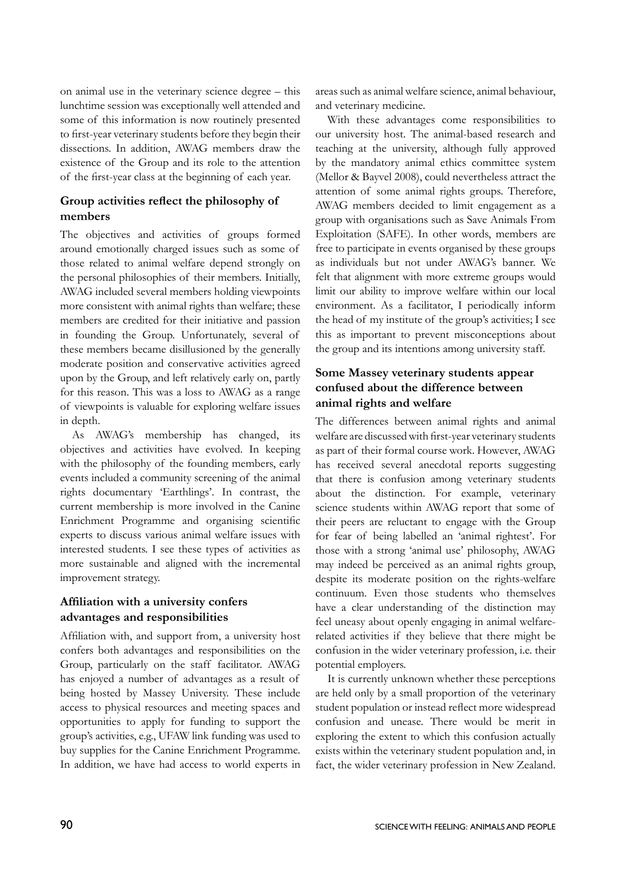on animal use in the veterinary science degree – this lunchtime session was exceptionally well attended and some of this information is now routinely presented to first-year veterinary students before they begin their dissections. In addition, AWAG members draw the existence of the Group and its role to the attention of the first-year class at the beginning of each year.

#### **Group activities reflect the philosophy of members**

The objectives and activities of groups formed around emotionally charged issues such as some of those related to animal welfare depend strongly on the personal philosophies of their members. Initially, AWAG included several members holding viewpoints more consistent with animal rights than welfare; these members are credited for their initiative and passion in founding the Group. Unfortunately, several of these members became disillusioned by the generally moderate position and conservative activities agreed upon by the Group, and left relatively early on, partly for this reason. This was a loss to AWAG as a range of viewpoints is valuable for exploring welfare issues in depth.

As AWAG's membership has changed, its objectives and activities have evolved. In keeping with the philosophy of the founding members, early events included a community screening of the animal rights documentary 'Earthlings'. In contrast, the current membership is more involved in the Canine Enrichment Programme and organising scientific experts to discuss various animal welfare issues with interested students. I see these types of activities as more sustainable and aligned with the incremental improvement strategy.

# **Affiliation with a university confers advantages and responsibilities**

Affiliation with, and support from, a university host confers both advantages and responsibilities on the Group, particularly on the staff facilitator. AWAG has enjoyed a number of advantages as a result of being hosted by Massey University. These include access to physical resources and meeting spaces and opportunities to apply for funding to support the group's activities, e.g., UFAW link funding was used to buy supplies for the Canine Enrichment Programme. In addition, we have had access to world experts in areas such as animal welfare science, animal behaviour, and veterinary medicine.

With these advantages come responsibilities to our university host. The animal-based research and teaching at the university, although fully approved by the mandatory animal ethics committee system (Mellor & Bayvel 2008), could nevertheless attract the attention of some animal rights groups. Therefore, AWAG members decided to limit engagement as a group with organisations such as Save Animals From Exploitation (SAFE). In other words, members are free to participate in events organised by these groups as individuals but not under AWAG's banner. We felt that alignment with more extreme groups would limit our ability to improve welfare within our local environment. As a facilitator, I periodically inform the head of my institute of the group's activities; I see this as important to prevent misconceptions about the group and its intentions among university staff.

### **Some Massey veterinary students appear confused about the difference between animal rights and welfare**

The differences between animal rights and animal welfare are discussed with first-year veterinary students as part of their formal course work. However, AWAG has received several anecdotal reports suggesting that there is confusion among veterinary students about the distinction. For example, veterinary science students within AWAG report that some of their peers are reluctant to engage with the Group for fear of being labelled an 'animal rightest'. For those with a strong 'animal use' philosophy, AWAG may indeed be perceived as an animal rights group, despite its moderate position on the rights-welfare continuum. Even those students who themselves have a clear understanding of the distinction may feel uneasy about openly engaging in animal welfarerelated activities if they believe that there might be confusion in the wider veterinary profession, i.e. their potential employers.

It is currently unknown whether these perceptions are held only by a small proportion of the veterinary student population or instead reflect more widespread confusion and unease. There would be merit in exploring the extent to which this confusion actually exists within the veterinary student population and, in fact, the wider veterinary profession in New Zealand.